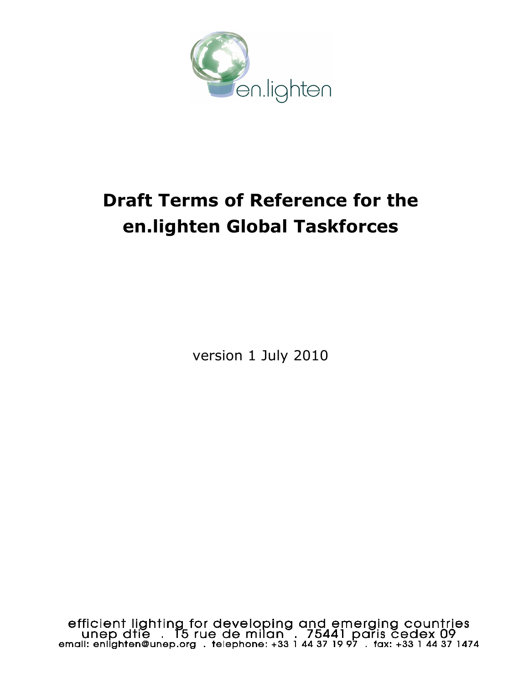

# **Draft Terms of Reference for the en.lighten Global Taskforces**

version 1 July 2010

efficient lighting for developing and emerging countries<br>unep dtie . 15 rue de milan . 75441 paris cedex 09<br>email: enlighten@unep.org . telephone: +33 1 44 37 19 97 . fax: +33 1 44 37 1474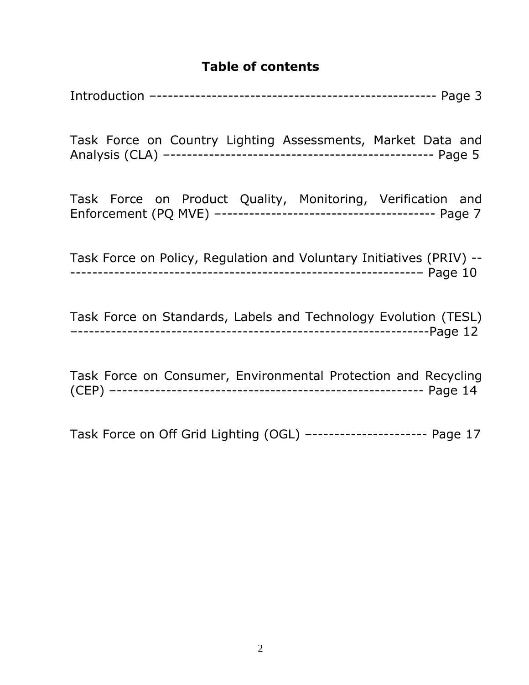#### **Table of contents**

Introduction –--------------------------------------------------- Page 3

Task Force on Country Lighting Assessments, Market Data and Analysis (CLA) –------------------------------------------------ Page 5

Task Force on Product Quality, Monitoring, Verification and Enforcement (PQ MVE) –--------------------------------------- Page 7

Task Force on Policy, Regulation and Voluntary Initiatives (PRIV) -- ---------------------------------------------------------------– Page 10

Task Force on Standards, Labels and Technology Evolution (TESL) –----------------------------------------------------------------Page 12

Task Force on Consumer, Environmental Protection and Recycling (CEP) –-------------------------------------------------------- Page 14

Task Force on Off Grid Lighting (OGL) –--------------------- Page 17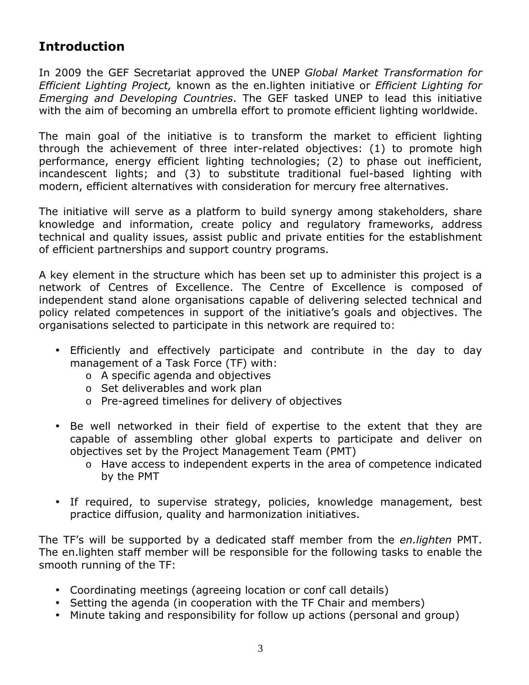## **Introduction**

In 2009 the GEF Secretariat approved the UNEP *Global Market Transformation for Efficient Lighting Project,* known as the en.lighten initiative or *Efficient Lighting for Emerging and Developing Countries*. The GEF tasked UNEP to lead this initiative with the aim of becoming an umbrella effort to promote efficient lighting worldwide.

The main goal of the initiative is to transform the market to efficient lighting through the achievement of three inter-related objectives: (1) to promote high performance, energy efficient lighting technologies; (2) to phase out inefficient, incandescent lights; and (3) to substitute traditional fuel-based lighting with modern, efficient alternatives with consideration for mercury free alternatives.

The initiative will serve as a platform to build synergy among stakeholders, share knowledge and information, create policy and regulatory frameworks, address technical and quality issues, assist public and private entities for the establishment of efficient partnerships and support country programs.

A key element in the structure which has been set up to administer this project is a network of Centres of Excellence. The Centre of Excellence is composed of independent stand alone organisations capable of delivering selected technical and policy related competences in support of the initiative's goals and objectives. The organisations selected to participate in this network are required to:

- Efficiently and effectively participate and contribute in the day to day management of a Task Force (TF) with:
	- o A specific agenda and objectives
	- o Set deliverables and work plan
	- o Pre-agreed timelines for delivery of objectives
- Be well networked in their field of expertise to the extent that they are capable of assembling other global experts to participate and deliver on objectives set by the Project Management Team (PMT)
	- o Have access to independent experts in the area of competence indicated by the PMT
- If required, to supervise strategy, policies, knowledge management, best practice diffusion, quality and harmonization initiatives.

The TF's will be supported by a dedicated staff member from the *en.lighten* PMT. The en.lighten staff member will be responsible for the following tasks to enable the smooth running of the TF:

- Coordinating meetings (agreeing location or conf call details)
- Setting the agenda (in cooperation with the TF Chair and members)
- Minute taking and responsibility for follow up actions (personal and group)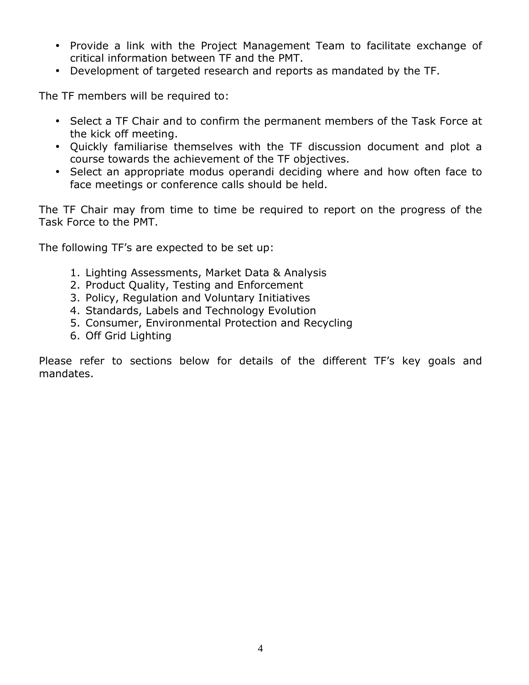- Provide a link with the Project Management Team to facilitate exchange of critical information between TF and the PMT.
- Development of targeted research and reports as mandated by the TF.

The TF members will be required to:

- Select a TF Chair and to confirm the permanent members of the Task Force at the kick off meeting.
- Quickly familiarise themselves with the TF discussion document and plot a course towards the achievement of the TF objectives.
- Select an appropriate modus operandi deciding where and how often face to face meetings or conference calls should be held.

The TF Chair may from time to time be required to report on the progress of the Task Force to the PMT.

The following TF's are expected to be set up:

- 1. Lighting Assessments, Market Data & Analysis
- 2. Product Quality, Testing and Enforcement
- 3. Policy, Regulation and Voluntary Initiatives
- 4. Standards, Labels and Technology Evolution
- 5. Consumer, Environmental Protection and Recycling
- 6. Off Grid Lighting

Please refer to sections below for details of the different TF's key goals and mandates.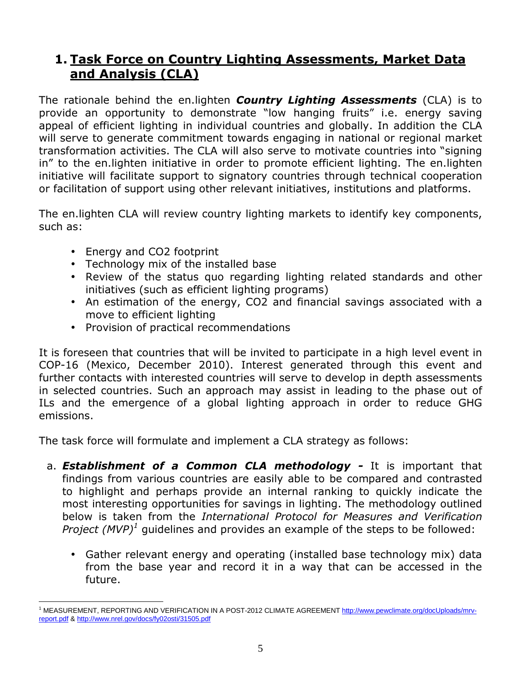## **1. Task Force on Country Lighting Assessments, Market Data and Analysis (CLA)**

The rationale behind the en.lighten *Country Lighting Assessments* (CLA) is to provide an opportunity to demonstrate "low hanging fruits" i.e. energy saving appeal of efficient lighting in individual countries and globally. In addition the CLA will serve to generate commitment towards engaging in national or regional market transformation activities. The CLA will also serve to motivate countries into "signing in" to the en.lighten initiative in order to promote efficient lighting. The en.lighten initiative will facilitate support to signatory countries through technical cooperation or facilitation of support using other relevant initiatives, institutions and platforms.

The en.lighten CLA will review country lighting markets to identify key components, such as:

- Energy and CO2 footprint
- Technology mix of the installed base
- Review of the status quo regarding lighting related standards and other initiatives (such as efficient lighting programs)
- An estimation of the energy, CO2 and financial savings associated with a move to efficient lighting
- Provision of practical recommendations

It is foreseen that countries that will be invited to participate in a high level event in COP-16 (Mexico, December 2010). Interest generated through this event and further contacts with interested countries will serve to develop in depth assessments in selected countries. Such an approach may assist in leading to the phase out of ILs and the emergence of a global lighting approach in order to reduce GHG emissions.

The task force will formulate and implement a CLA strategy as follows:

- a. *Establishment of a Common CLA methodology* It is important that findings from various countries are easily able to be compared and contrasted to highlight and perhaps provide an internal ranking to quickly indicate the most interesting opportunities for savings in lighting. The methodology outlined below is taken from the *International Protocol for Measures and Verification Project (MVP)<sup>1</sup>* guidelines and provides an example of the steps to be followed:
	- Gather relevant energy and operating (installed base technology mix) data from the base year and record it in a way that can be accessed in the future.

 $\overline{a}$ <sup>1</sup> MEASUREMENT, REPORTING AND VERIFICATION IN A POST-2012 CLIMATE AGREEMENT http://www.pewclimate.org/docUploads/mrvreport.pdf & http://www.nrel.gov/docs/fy02osti/31505.pdf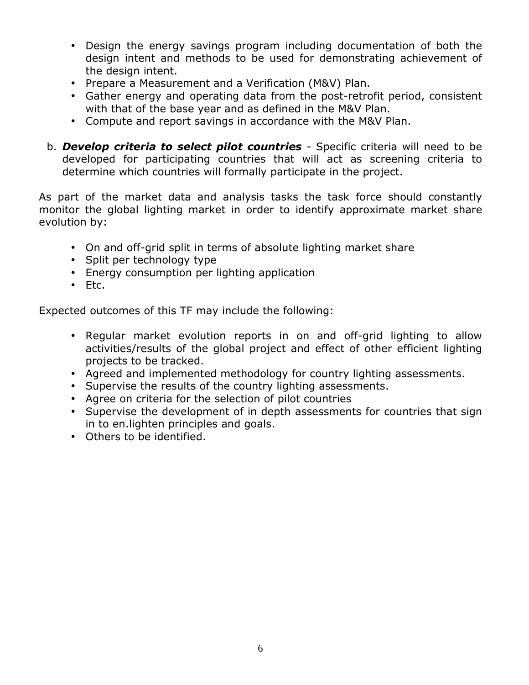- Design the energy savings program including documentation of both the design intent and methods to be used for demonstrating achievement of the design intent.
- Prepare a Measurement and a Verification (M&V) Plan.
- Gather energy and operating data from the post-retrofit period, consistent with that of the base year and as defined in the M&V Plan.
- Compute and report savings in accordance with the M&V Plan.
- b. *Develop criteria to select pilot countries* Specific criteria will need to be developed for participating countries that will act as screening criteria to determine which countries will formally participate in the project.

As part of the market data and analysis tasks the task force should constantly monitor the global lighting market in order to identify approximate market share evolution by:

- On and off-grid split in terms of absolute lighting market share
- Split per technology type
- Energy consumption per lighting application
- Etc.

Expected outcomes of this TF may include the following:

- Regular market evolution reports in on and off-grid lighting to allow activities/results of the global project and effect of other efficient lighting projects to be tracked.
- Agreed and implemented methodology for country lighting assessments.
- Supervise the results of the country lighting assessments.
- Agree on criteria for the selection of pilot countries
- Supervise the development of in depth assessments for countries that sign in to en.lighten principles and goals.
- Others to be identified.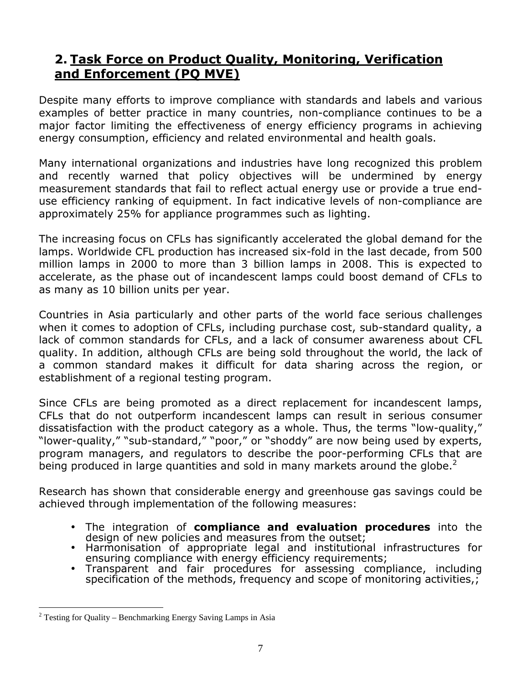## **2. Task Force on Product Quality, Monitoring, Verification and Enforcement (PQ MVE)**

Despite many efforts to improve compliance with standards and labels and various examples of better practice in many countries, non-compliance continues to be a major factor limiting the effectiveness of energy efficiency programs in achieving energy consumption, efficiency and related environmental and health goals.

Many international organizations and industries have long recognized this problem and recently warned that policy objectives will be undermined by energy measurement standards that fail to reflect actual energy use or provide a true enduse efficiency ranking of equipment. In fact indicative levels of non-compliance are approximately 25% for appliance programmes such as lighting.

The increasing focus on CFLs has significantly accelerated the global demand for the lamps. Worldwide CFL production has increased six-fold in the last decade, from 500 million lamps in 2000 to more than 3 billion lamps in 2008. This is expected to accelerate, as the phase out of incandescent lamps could boost demand of CFLs to as many as 10 billion units per year.

Countries in Asia particularly and other parts of the world face serious challenges when it comes to adoption of CFLs, including purchase cost, sub-standard quality, a lack of common standards for CFLs, and a lack of consumer awareness about CFL quality. In addition, although CFLs are being sold throughout the world, the lack of a common standard makes it difficult for data sharing across the region, or establishment of a regional testing program.

Since CFLs are being promoted as a direct replacement for incandescent lamps, CFLs that do not outperform incandescent lamps can result in serious consumer dissatisfaction with the product category as a whole. Thus, the terms "low-quality," "lower-quality," "sub-standard," "poor," or "shoddy" are now being used by experts, program managers, and regulators to describe the poor-performing CFLs that are being produced in large quantities and sold in many markets around the globe. $<sup>2</sup>$ </sup>

Research has shown that considerable energy and greenhouse gas savings could be achieved through implementation of the following measures:

- The integration of **compliance and evaluation procedures** into the design of new policies and measures from the outset;
- Harmonisation of appropriate legal and institutional infrastructures for ensuring compliance with energy efficiency requirements;
- Transparent and fair procedures for assessing compliance, including specification of the methods, frequency and scope of monitoring activities,;

 $\overline{a}$ 

<sup>&</sup>lt;sup>2</sup> Testing for Quality – Benchmarking Energy Saving Lamps in Asia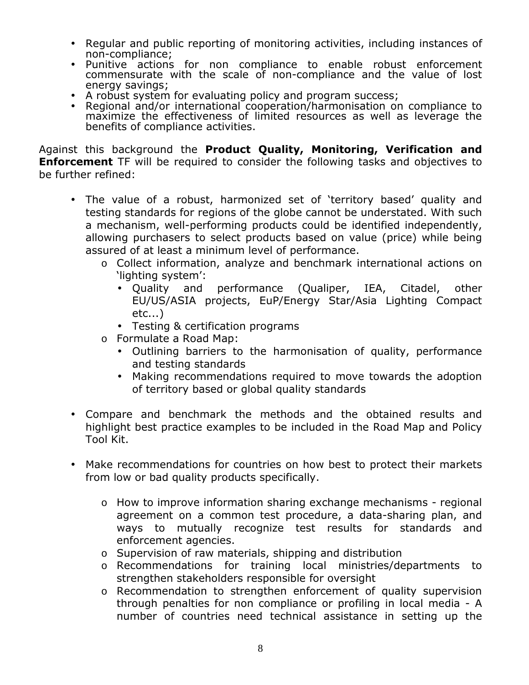- Regular and public reporting of monitoring activities, including instances of non-compliance;
- Punitive actions for non compliance to enable robust enforcement commensurate with the scale of non-compliance and the value of lost energy savings;
- A robust system for evaluating policy and program success;
- Regional and/or international cooperation/harmonisation on compliance to maximize the effectiveness of limited resources as well as leverage the benefits of compliance activities.

Against this background the **Product Quality, Monitoring, Verification and Enforcement** TF will be required to consider the following tasks and objectives to be further refined:

- The value of a robust, harmonized set of 'territory based' quality and testing standards for regions of the globe cannot be understated. With such a mechanism, well-performing products could be identified independently, allowing purchasers to select products based on value (price) while being assured of at least a minimum level of performance.
	- o Collect information, analyze and benchmark international actions on 'lighting system':
		- Quality and performance (Qualiper, IEA, Citadel, other EU/US/ASIA projects, EuP/Energy Star/Asia Lighting Compact etc...)
		- Testing & certification programs
	- o Formulate a Road Map:
		- Outlining barriers to the harmonisation of quality, performance and testing standards
		- Making recommendations required to move towards the adoption of territory based or global quality standards
- Compare and benchmark the methods and the obtained results and highlight best practice examples to be included in the Road Map and Policy Tool Kit.
- Make recommendations for countries on how best to protect their markets from low or bad quality products specifically.
	- o How to improve information sharing exchange mechanisms regional agreement on a common test procedure, a data-sharing plan, and ways to mutually recognize test results for standards and enforcement agencies.
	- o Supervision of raw materials, shipping and distribution
	- o Recommendations for training local ministries/departments to strengthen stakeholders responsible for oversight
	- o Recommendation to strengthen enforcement of quality supervision through penalties for non compliance or profiling in local media - A number of countries need technical assistance in setting up the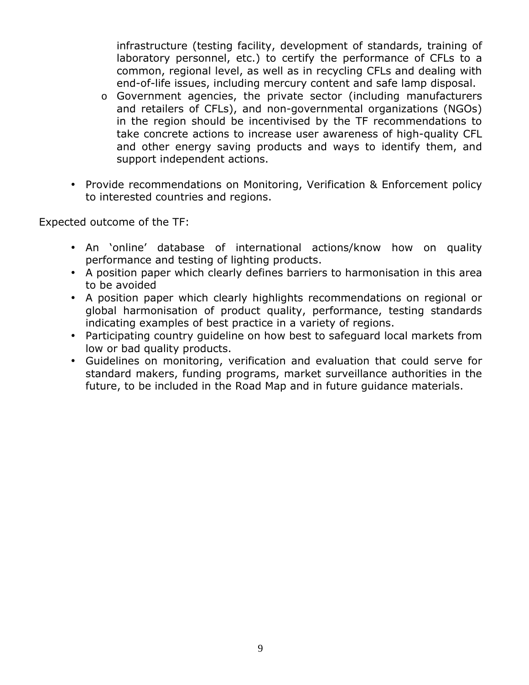infrastructure (testing facility, development of standards, training of laboratory personnel, etc.) to certify the performance of CFLs to a common, regional level, as well as in recycling CFLs and dealing with end-of-life issues, including mercury content and safe lamp disposal.

- o Government agencies, the private sector (including manufacturers and retailers of CFLs), and non-governmental organizations (NGOs) in the region should be incentivised by the TF recommendations to take concrete actions to increase user awareness of high-quality CFL and other energy saving products and ways to identify them, and support independent actions.
- Provide recommendations on Monitoring, Verification & Enforcement policy to interested countries and regions.

Expected outcome of the TF:

- An 'online' database of international actions/know how on quality performance and testing of lighting products.
- A position paper which clearly defines barriers to harmonisation in this area to be avoided
- A position paper which clearly highlights recommendations on regional or global harmonisation of product quality, performance, testing standards indicating examples of best practice in a variety of regions.
- Participating country guideline on how best to safeguard local markets from low or bad quality products.
- Guidelines on monitoring, verification and evaluation that could serve for standard makers, funding programs, market surveillance authorities in the future, to be included in the Road Map and in future guidance materials.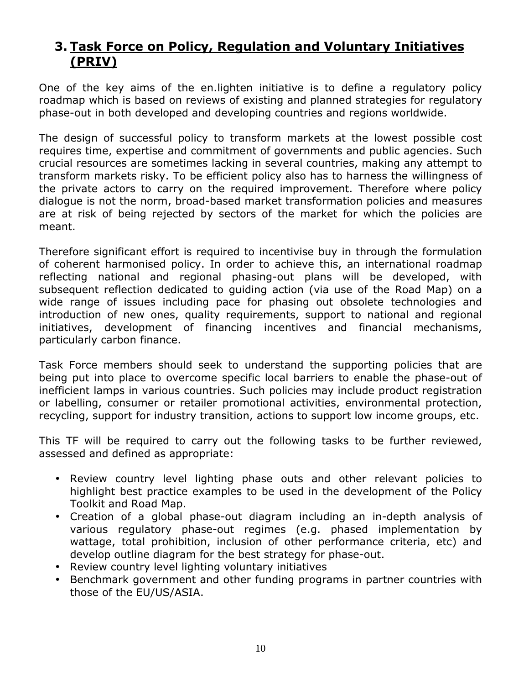## **3. Task Force on Policy, Regulation and Voluntary Initiatives (PRIV)**

One of the key aims of the en.lighten initiative is to define a regulatory policy roadmap which is based on reviews of existing and planned strategies for regulatory phase-out in both developed and developing countries and regions worldwide.

The design of successful policy to transform markets at the lowest possible cost requires time, expertise and commitment of governments and public agencies. Such crucial resources are sometimes lacking in several countries, making any attempt to transform markets risky. To be efficient policy also has to harness the willingness of the private actors to carry on the required improvement. Therefore where policy dialogue is not the norm, broad-based market transformation policies and measures are at risk of being rejected by sectors of the market for which the policies are meant.

Therefore significant effort is required to incentivise buy in through the formulation of coherent harmonised policy. In order to achieve this, an international roadmap reflecting national and regional phasing-out plans will be developed, with subsequent reflection dedicated to guiding action (via use of the Road Map) on a wide range of issues including pace for phasing out obsolete technologies and introduction of new ones, quality requirements, support to national and regional initiatives, development of financing incentives and financial mechanisms, particularly carbon finance.

Task Force members should seek to understand the supporting policies that are being put into place to overcome specific local barriers to enable the phase-out of inefficient lamps in various countries. Such policies may include product registration or labelling, consumer or retailer promotional activities, environmental protection, recycling, support for industry transition, actions to support low income groups, etc.

This TF will be required to carry out the following tasks to be further reviewed, assessed and defined as appropriate:

- Review country level lighting phase outs and other relevant policies to highlight best practice examples to be used in the development of the Policy Toolkit and Road Map.
- Creation of a global phase-out diagram including an in-depth analysis of various regulatory phase-out regimes (e.g. phased implementation by wattage, total prohibition, inclusion of other performance criteria, etc) and develop outline diagram for the best strategy for phase-out.
- Review country level lighting voluntary initiatives
- Benchmark government and other funding programs in partner countries with those of the EU/US/ASIA.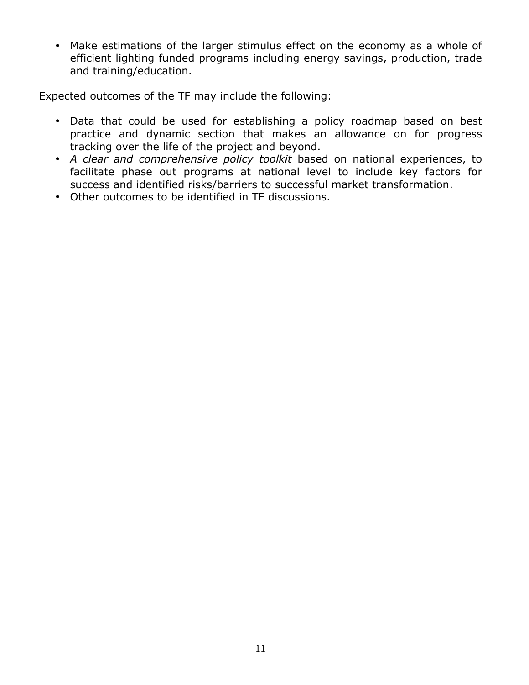• Make estimations of the larger stimulus effect on the economy as a whole of efficient lighting funded programs including energy savings, production, trade and training/education.

Expected outcomes of the TF may include the following:

- Data that could be used for establishing a policy roadmap based on best practice and dynamic section that makes an allowance on for progress tracking over the life of the project and beyond.
- *A clear and comprehensive policy toolkit* based on national experiences, to facilitate phase out programs at national level to include key factors for success and identified risks/barriers to successful market transformation.
- Other outcomes to be identified in TF discussions.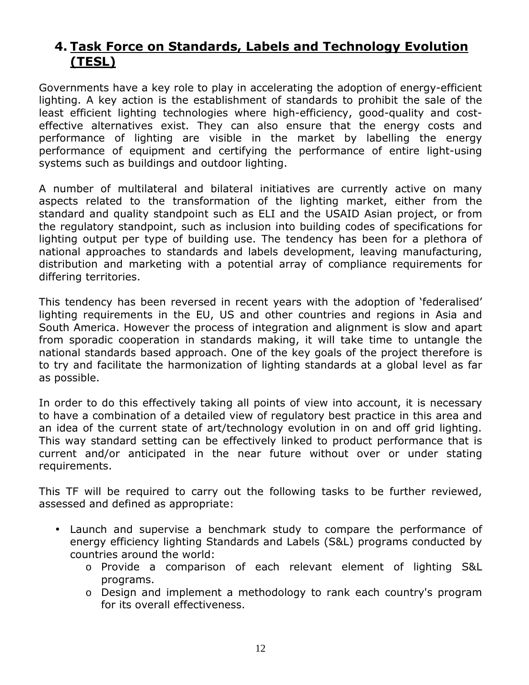## **4. Task Force on Standards, Labels and Technology Evolution (TESL)**

Governments have a key role to play in accelerating the adoption of energy-efficient lighting. A key action is the establishment of standards to prohibit the sale of the least efficient lighting technologies where high-efficiency, good-quality and costeffective alternatives exist. They can also ensure that the energy costs and performance of lighting are visible in the market by labelling the energy performance of equipment and certifying the performance of entire light-using systems such as buildings and outdoor lighting.

A number of multilateral and bilateral initiatives are currently active on many aspects related to the transformation of the lighting market, either from the standard and quality standpoint such as ELI and the USAID Asian project, or from the regulatory standpoint, such as inclusion into building codes of specifications for lighting output per type of building use. The tendency has been for a plethora of national approaches to standards and labels development, leaving manufacturing, distribution and marketing with a potential array of compliance requirements for differing territories.

This tendency has been reversed in recent years with the adoption of 'federalised' lighting requirements in the EU, US and other countries and regions in Asia and South America. However the process of integration and alignment is slow and apart from sporadic cooperation in standards making, it will take time to untangle the national standards based approach. One of the key goals of the project therefore is to try and facilitate the harmonization of lighting standards at a global level as far as possible.

In order to do this effectively taking all points of view into account, it is necessary to have a combination of a detailed view of regulatory best practice in this area and an idea of the current state of art/technology evolution in on and off grid lighting. This way standard setting can be effectively linked to product performance that is current and/or anticipated in the near future without over or under stating requirements.

This TF will be required to carry out the following tasks to be further reviewed, assessed and defined as appropriate:

- Launch and supervise a benchmark study to compare the performance of energy efficiency lighting Standards and Labels (S&L) programs conducted by countries around the world:
	- o Provide a comparison of each relevant element of lighting S&L programs.
	- o Design and implement a methodology to rank each country's program for its overall effectiveness.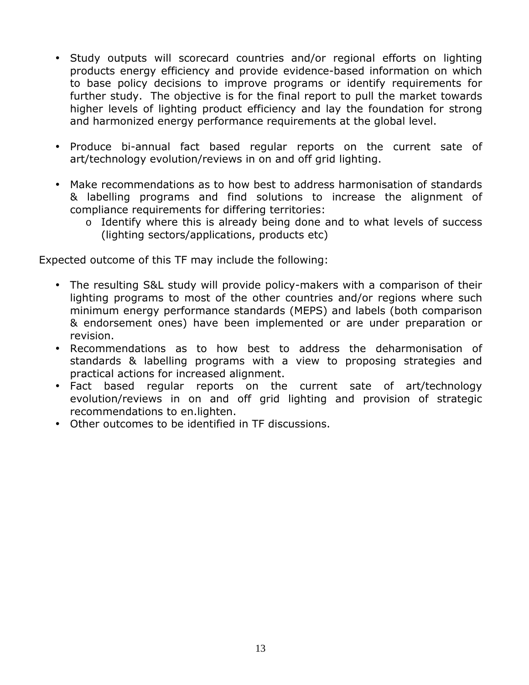- Study outputs will scorecard countries and/or regional efforts on lighting products energy efficiency and provide evidence-based information on which to base policy decisions to improve programs or identify requirements for further study. The objective is for the final report to pull the market towards higher levels of lighting product efficiency and lay the foundation for strong and harmonized energy performance requirements at the global level.
- Produce bi-annual fact based regular reports on the current sate of art/technology evolution/reviews in on and off grid lighting.
- Make recommendations as to how best to address harmonisation of standards & labelling programs and find solutions to increase the alignment of compliance requirements for differing territories:
	- o Identify where this is already being done and to what levels of success (lighting sectors/applications, products etc)

Expected outcome of this TF may include the following:

- The resulting S&L study will provide policy-makers with a comparison of their lighting programs to most of the other countries and/or regions where such minimum energy performance standards (MEPS) and labels (both comparison & endorsement ones) have been implemented or are under preparation or revision.
- Recommendations as to how best to address the deharmonisation of standards & labelling programs with a view to proposing strategies and practical actions for increased alignment.
- Fact based regular reports on the current sate of art/technology evolution/reviews in on and off grid lighting and provision of strategic recommendations to en.lighten.
- Other outcomes to be identified in TF discussions.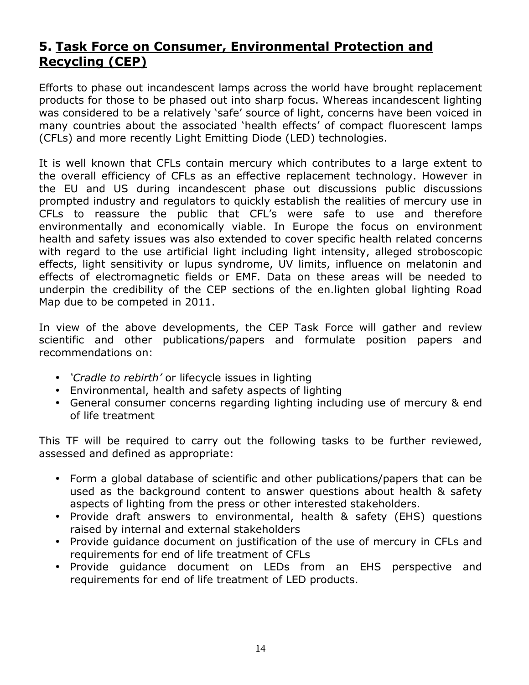## **5. Task Force on Consumer, Environmental Protection and Recycling (CEP)**

Efforts to phase out incandescent lamps across the world have brought replacement products for those to be phased out into sharp focus. Whereas incandescent lighting was considered to be a relatively 'safe' source of light, concerns have been voiced in many countries about the associated 'health effects' of compact fluorescent lamps (CFLs) and more recently Light Emitting Diode (LED) technologies.

It is well known that CFLs contain mercury which contributes to a large extent to the overall efficiency of CFLs as an effective replacement technology. However in the EU and US during incandescent phase out discussions public discussions prompted industry and regulators to quickly establish the realities of mercury use in CFLs to reassure the public that CFL's were safe to use and therefore environmentally and economically viable. In Europe the focus on environment health and safety issues was also extended to cover specific health related concerns with regard to the use artificial light including light intensity, alleged stroboscopic effects, light sensitivity or lupus syndrome, UV limits, influence on melatonin and effects of electromagnetic fields or EMF. Data on these areas will be needed to underpin the credibility of the CEP sections of the en.lighten global lighting Road Map due to be competed in 2011.

In view of the above developments, the CEP Task Force will gather and review scientific and other publications/papers and formulate position papers and recommendations on:

- *'Cradle to rebirth'* or lifecycle issues in lighting
- Environmental, health and safety aspects of lighting
- General consumer concerns regarding lighting including use of mercury & end of life treatment

This TF will be required to carry out the following tasks to be further reviewed, assessed and defined as appropriate:

- Form a global database of scientific and other publications/papers that can be used as the background content to answer questions about health & safety aspects of lighting from the press or other interested stakeholders.
- Provide draft answers to environmental, health & safety (EHS) questions raised by internal and external stakeholders
- Provide guidance document on justification of the use of mercury in CFLs and requirements for end of life treatment of CFLs
- Provide guidance document on LEDs from an EHS perspective and requirements for end of life treatment of LED products.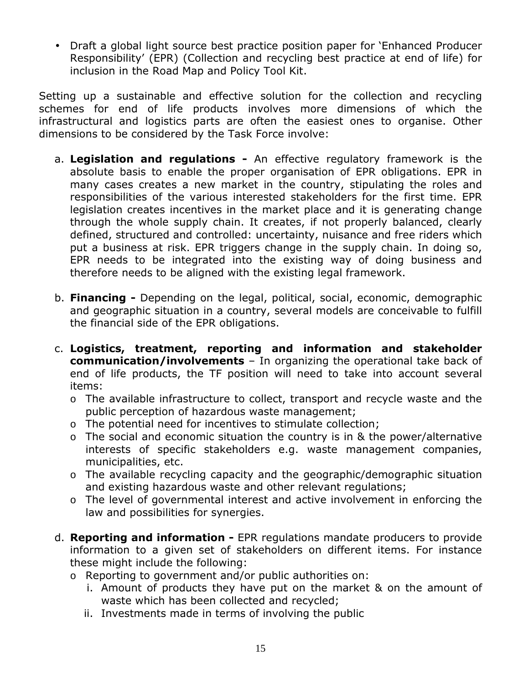• Draft a global light source best practice position paper for 'Enhanced Producer Responsibility' (EPR) (Collection and recycling best practice at end of life) for inclusion in the Road Map and Policy Tool Kit.

Setting up a sustainable and effective solution for the collection and recycling schemes for end of life products involves more dimensions of which the infrastructural and logistics parts are often the easiest ones to organise. Other dimensions to be considered by the Task Force involve:

- a. **Legislation and regulations** An effective regulatory framework is the absolute basis to enable the proper organisation of EPR obligations. EPR in many cases creates a new market in the country, stipulating the roles and responsibilities of the various interested stakeholders for the first time. EPR legislation creates incentives in the market place and it is generating change through the whole supply chain. It creates, if not properly balanced, clearly defined, structured and controlled: uncertainty, nuisance and free riders which put a business at risk. EPR triggers change in the supply chain. In doing so, EPR needs to be integrated into the existing way of doing business and therefore needs to be aligned with the existing legal framework.
- b. **Financing** Depending on the legal, political, social, economic, demographic and geographic situation in a country, several models are conceivable to fulfill the financial side of the EPR obligations.
- c. **Logistics, treatment, reporting and information and stakeholder communication/involvements** – In organizing the operational take back of end of life products, the TF position will need to take into account several items:
	- o The available infrastructure to collect, transport and recycle waste and the public perception of hazardous waste management;
	- o The potential need for incentives to stimulate collection;
	- o The social and economic situation the country is in & the power/alternative interests of specific stakeholders e.g. waste management companies, municipalities, etc.
	- o The available recycling capacity and the geographic/demographic situation and existing hazardous waste and other relevant regulations;
	- o The level of governmental interest and active involvement in enforcing the law and possibilities for synergies.
- d. **Reporting and information** EPR regulations mandate producers to provide information to a given set of stakeholders on different items. For instance these might include the following:
	- o Reporting to government and/or public authorities on:
		- i. Amount of products they have put on the market & on the amount of waste which has been collected and recycled;
		- ii. Investments made in terms of involving the public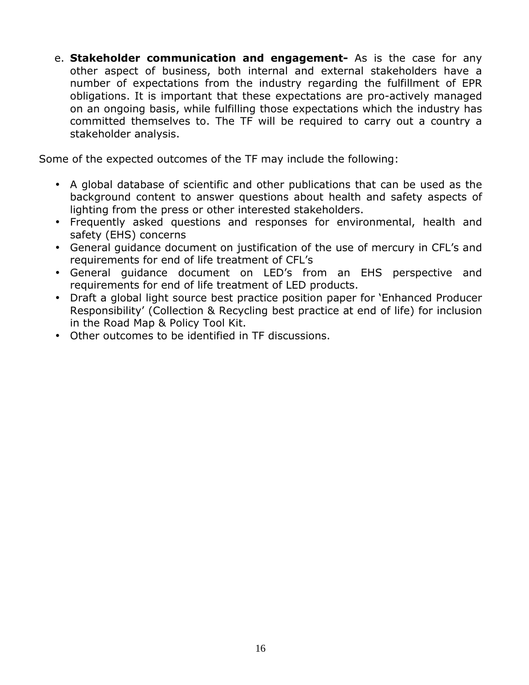e. **Stakeholder communication and engagement-** As is the case for any other aspect of business, both internal and external stakeholders have a number of expectations from the industry regarding the fulfillment of EPR obligations. It is important that these expectations are pro-actively managed on an ongoing basis, while fulfilling those expectations which the industry has committed themselves to. The TF will be required to carry out a country a stakeholder analysis.

Some of the expected outcomes of the TF may include the following:

- A global database of scientific and other publications that can be used as the background content to answer questions about health and safety aspects of lighting from the press or other interested stakeholders.
- Frequently asked questions and responses for environmental, health and safety (EHS) concerns
- General guidance document on justification of the use of mercury in CFL's and requirements for end of life treatment of CFL's
- General guidance document on LED's from an EHS perspective and requirements for end of life treatment of LED products.
- Draft a global light source best practice position paper for 'Enhanced Producer Responsibility' (Collection & Recycling best practice at end of life) for inclusion in the Road Map & Policy Tool Kit.
- Other outcomes to be identified in TF discussions.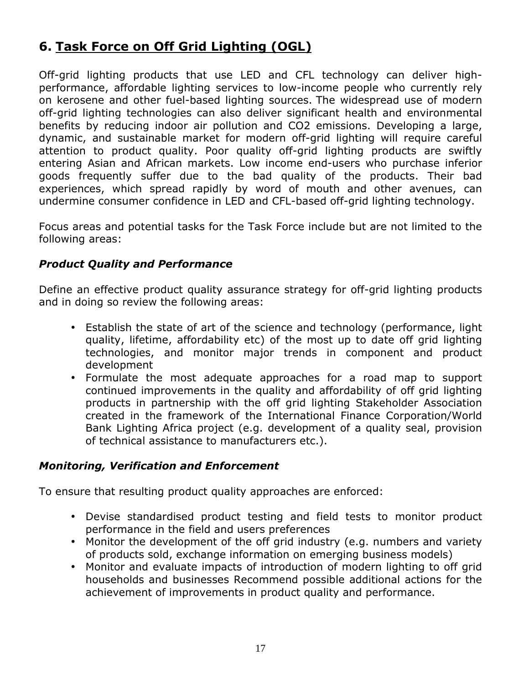## **6. Task Force on Off Grid Lighting (OGL)**

Off-grid lighting products that use LED and CFL technology can deliver highperformance, affordable lighting services to low-income people who currently rely on kerosene and other fuel-based lighting sources. The widespread use of modern off-grid lighting technologies can also deliver significant health and environmental benefits by reducing indoor air pollution and CO2 emissions. Developing a large, dynamic, and sustainable market for modern off-grid lighting will require careful attention to product quality. Poor quality off-grid lighting products are swiftly entering Asian and African markets. Low income end-users who purchase inferior goods frequently suffer due to the bad quality of the products. Their bad experiences, which spread rapidly by word of mouth and other avenues, can undermine consumer confidence in LED and CFL-based off-grid lighting technology.

Focus areas and potential tasks for the Task Force include but are not limited to the following areas:

#### *Product Quality and Performance*

Define an effective product quality assurance strategy for off-grid lighting products and in doing so review the following areas:

- Establish the state of art of the science and technology (performance, light quality, lifetime, affordability etc) of the most up to date off grid lighting technologies, and monitor major trends in component and product development
- Formulate the most adequate approaches for a road map to support continued improvements in the quality and affordability of off grid lighting products in partnership with the off grid lighting Stakeholder Association created in the framework of the International Finance Corporation/World Bank Lighting Africa project (e.g. development of a quality seal, provision of technical assistance to manufacturers etc.).

#### *Monitoring, Verification and Enforcement*

To ensure that resulting product quality approaches are enforced:

- Devise standardised product testing and field tests to monitor product performance in the field and users preferences
- Monitor the development of the off grid industry (e.g. numbers and variety of products sold, exchange information on emerging business models)
- Monitor and evaluate impacts of introduction of modern lighting to off grid households and businesses Recommend possible additional actions for the achievement of improvements in product quality and performance.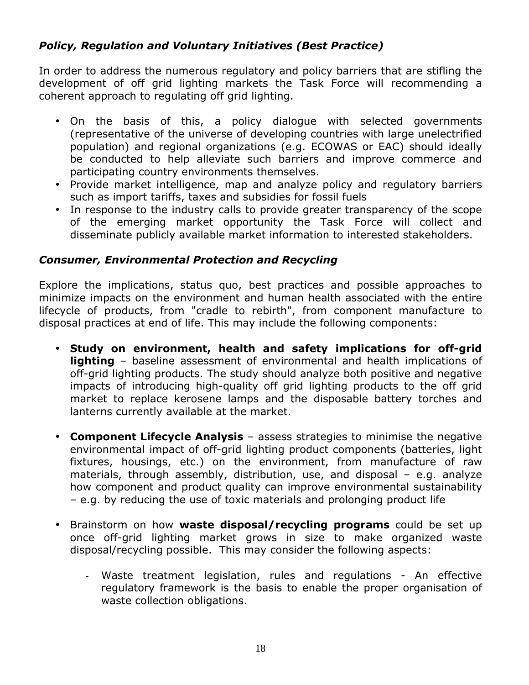#### *Policy, Regulation and Voluntary Initiatives (Best Practice)*

In order to address the numerous regulatory and policy barriers that are stifling the development of off grid lighting markets the Task Force will recommending a coherent approach to regulating off grid lighting.

- On the basis of this, a policy dialogue with selected governments (representative of the universe of developing countries with large unelectrified population) and regional organizations (e.g. ECOWAS or EAC) should ideally be conducted to help alleviate such barriers and improve commerce and participating country environments themselves.
- Provide market intelligence, map and analyze policy and regulatory barriers such as import tariffs, taxes and subsidies for fossil fuels
- In response to the industry calls to provide greater transparency of the scope of the emerging market opportunity the Task Force will collect and disseminate publicly available market information to interested stakeholders.

#### *Consumer, Environmental Protection and Recycling*

Explore the implications, status quo, best practices and possible approaches to minimize impacts on the environment and human health associated with the entire lifecycle of products, from "cradle to rebirth", from component manufacture to disposal practices at end of life. This may include the following components:

- **Study on environment, health and safety implications for off-grid lighting** – baseline assessment of environmental and health implications of off-grid lighting products. The study should analyze both positive and negative impacts of introducing high-quality off grid lighting products to the off grid market to replace kerosene lamps and the disposable battery torches and lanterns currently available at the market.
- **Component Lifecycle Analysis** assess strategies to minimise the negative environmental impact of off-grid lighting product components (batteries, light fixtures, housings, etc.) on the environment, from manufacture of raw materials, through assembly, distribution, use, and disposal – e.g. analyze how component and product quality can improve environmental sustainability – e.g. by reducing the use of toxic materials and prolonging product life
- Brainstorm on how **waste disposal/recycling programs** could be set up once off-grid lighting market grows in size to make organized waste disposal/recycling possible. This may consider the following aspects:
	- Waste treatment legislation, rules and regulations An effective regulatory framework is the basis to enable the proper organisation of waste collection obligations.